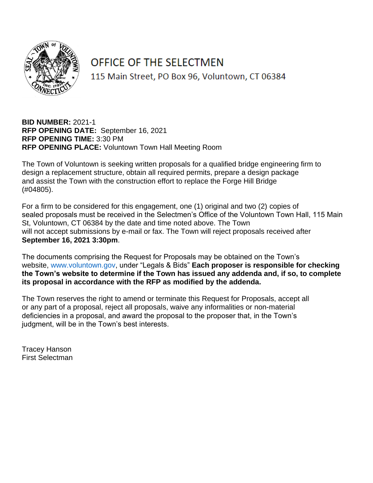

# OFFICE OF THE SELECTMEN

115 Main Street, PO Box 96, Voluntown, CT 06384

**BID NUMBER:** 2021-1 **RFP OPENING DATE:** September 16, 2021 **RFP OPENING TIME:** 3:30 PM **RFP OPENING PLACE:** Voluntown Town Hall Meeting Room

The Town of Voluntown is seeking written proposals for a qualified bridge engineering firm to design a replacement structure, obtain all required permits, prepare a design package and assist the Town with the construction effort to replace the Forge Hill Bridge (#04805).

For a firm to be considered for this engagement, one (1) original and two (2) copies of sealed proposals must be received in the Selectmen's Office of the Voluntown Town Hall, 115 Main St, Voluntown, CT 06384 by the date and time noted above. The Town will not accept submissions by e-mail or fax. The Town will reject proposals received after **September 16, 2021 3:30pm**.

The documents comprising the Request for Proposals may be obtained on the Town's website, www.voluntown.gov, under "Legals & Bids" **Each proposer is responsible for checking the Town's website to determine if the Town has issued any addenda and, if so, to complete its proposal in accordance with the RFP as modified by the addenda.**

The Town reserves the right to amend or terminate this Request for Proposals, accept all or any part of a proposal, reject all proposals, waive any informalities or non-material deficiencies in a proposal, and award the proposal to the proposer that, in the Town's judgment, will be in the Town's best interests.

Tracey Hanson First Selectman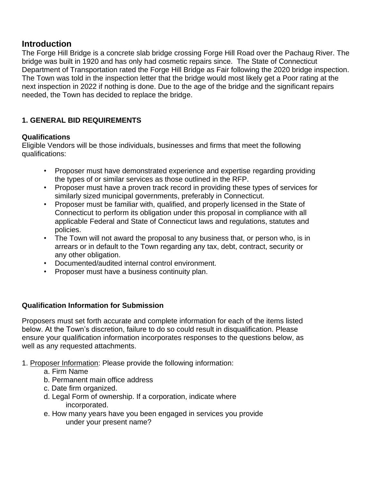# **Introduction**

The Forge Hill Bridge is a concrete slab bridge crossing Forge Hill Road over the Pachaug River. The bridge was built in 1920 and has only had cosmetic repairs since. The State of Connecticut Department of Transportation rated the Forge Hill Bridge as Fair following the 2020 bridge inspection. The Town was told in the inspection letter that the bridge would most likely get a Poor rating at the next inspection in 2022 if nothing is done. Due to the age of the bridge and the significant repairs needed, the Town has decided to replace the bridge.

# **1. GENERAL BID REQUIREMENTS**

#### **Qualifications**

Eligible Vendors will be those individuals, businesses and firms that meet the following qualifications:

- Proposer must have demonstrated experience and expertise regarding providing the types of or similar services as those outlined in the RFP.
- Proposer must have a proven track record in providing these types of services for similarly sized municipal governments, preferably in Connecticut.
- Proposer must be familiar with, qualified, and properly licensed in the State of Connecticut to perform its obligation under this proposal in compliance with all applicable Federal and State of Connecticut laws and regulations, statutes and policies.
- The Town will not award the proposal to any business that, or person who, is in arrears or in default to the Town regarding any tax, debt, contract, security or any other obligation.
- Documented/audited internal control environment.
- Proposer must have a business continuity plan.

#### **Qualification Information for Submission**

Proposers must set forth accurate and complete information for each of the items listed below. At the Town's discretion, failure to do so could result in disqualification. Please ensure your qualification information incorporates responses to the questions below, as well as any requested attachments.

- 1. Proposer Information: Please provide the following information:
	- a. Firm Name
	- b. Permanent main office address
	- c. Date firm organized.
	- d. Legal Form of ownership. If a corporation, indicate where incorporated.
	- e. How many years have you been engaged in services you provide under your present name?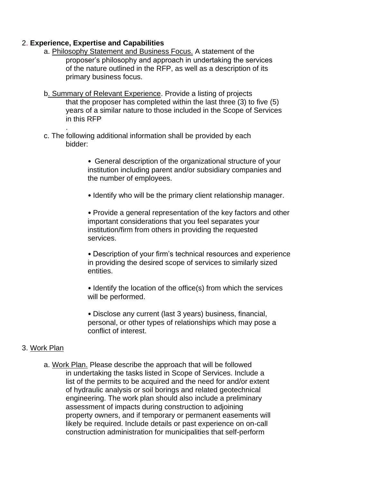#### 2. **Experience, Expertise and Capabilities**

.

- a. Philosophy Statement and Business Focus. A statement of the proposer's philosophy and approach in undertaking the services of the nature outlined in the RFP, as well as a description of its primary business focus.
- b. Summary of Relevant Experience. Provide a listing of projects that the proposer has completed within the last three (3) to five (5) years of a similar nature to those included in the Scope of Services in this RFP
- c. The following additional information shall be provided by each bidder:

• General description of the organizational structure of your institution including parent and/or subsidiary companies and the number of employees.

• Identify who will be the primary client relationship manager.

• Provide a general representation of the key factors and other important considerations that you feel separates your institution/firm from others in providing the requested services.

• Description of your firm's technical resources and experience in providing the desired scope of services to similarly sized entities.

• Identify the location of the office(s) from which the services will be performed.

• Disclose any current (last 3 years) business, financial, personal, or other types of relationships which may pose a conflict of interest.

#### 3. Work Plan

a. Work Plan. Please describe the approach that will be followed in undertaking the tasks listed in Scope of Services. Include a list of the permits to be acquired and the need for and/or extent of hydraulic analysis or soil borings and related geotechnical engineering. The work plan should also include a preliminary assessment of impacts during construction to adjoining property owners, and if temporary or permanent easements will likely be required. Include details or past experience on on-call construction administration for municipalities that self-perform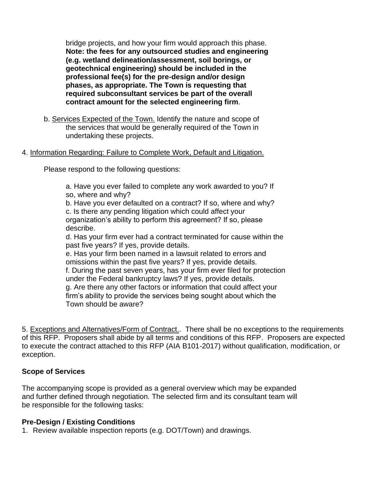bridge projects, and how your firm would approach this phase. **Note: the fees for any outsourced studies and engineering (e.g. wetland delineation/assessment, soil borings, or geotechnical engineering) should be included in the professional fee(s) for the pre-design and/or design phases, as appropriate. The Town is requesting that required subconsultant services be part of the overall contract amount for the selected engineering firm**.

b. Services Expected of the Town. Identify the nature and scope of the services that would be generally required of the Town in undertaking these projects.

#### 4. Information Regarding: Failure to Complete Work, Default and Litigation.

Please respond to the following questions:

a. Have you ever failed to complete any work awarded to you? If so, where and why?

b. Have you ever defaulted on a contract? If so, where and why? c. Is there any pending litigation which could affect your organization's ability to perform this agreement? If so, please describe.

d. Has your firm ever had a contract terminated for cause within the past five years? If yes, provide details.

e. Has your firm been named in a lawsuit related to errors and omissions within the past five years? If yes, provide details. f. During the past seven years, has your firm ever filed for protection under the Federal bankruptcy laws? If yes, provide details. g. Are there any other factors or information that could affect your firm's ability to provide the services being sought about which the Town should be aware?

5. Exceptions and Alternatives/Form of Contract.. There shall be no exceptions to the requirements of this RFP. Proposers shall abide by all terms and conditions of this RFP. Proposers are expected to execute the contract attached to this RFP (AIA B101-2017) without qualification, modification, or exception.

#### **Scope of Services**

The accompanying scope is provided as a general overview which may be expanded and further defined through negotiation. The selected firm and its consultant team will be responsible for the following tasks:

#### **Pre-Design / Existing Conditions**

1. Review available inspection reports (e.g. DOT/Town) and drawings.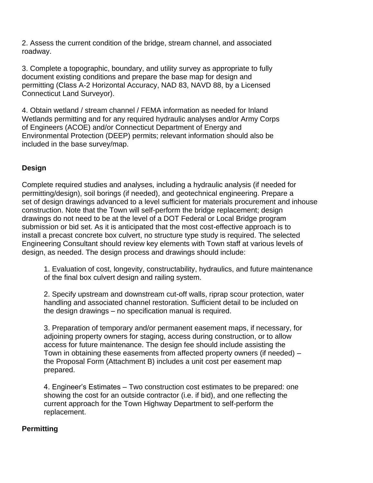2. Assess the current condition of the bridge, stream channel, and associated roadway.

3. Complete a topographic, boundary, and utility survey as appropriate to fully document existing conditions and prepare the base map for design and permitting (Class A-2 Horizontal Accuracy, NAD 83, NAVD 88, by a Licensed Connecticut Land Surveyor).

4. Obtain wetland / stream channel / FEMA information as needed for Inland Wetlands permitting and for any required hydraulic analyses and/or Army Corps of Engineers (ACOE) and/or Connecticut Department of Energy and Environmental Protection (DEEP) permits; relevant information should also be included in the base survey/map.

#### **Design**

Complete required studies and analyses, including a hydraulic analysis (if needed for permitting/design), soil borings (if needed), and geotechnical engineering. Prepare a set of design drawings advanced to a level sufficient for materials procurement and inhouse construction. Note that the Town will self-perform the bridge replacement; design drawings do not need to be at the level of a DOT Federal or Local Bridge program submission or bid set. As it is anticipated that the most cost-effective approach is to install a precast concrete box culvert, no structure type study is required. The selected Engineering Consultant should review key elements with Town staff at various levels of design, as needed. The design process and drawings should include:

1. Evaluation of cost, longevity, constructability, hydraulics, and future maintenance of the final box culvert design and railing system.

2. Specify upstream and downstream cut-off walls, riprap scour protection, water handling and associated channel restoration. Sufficient detail to be included on the design drawings – no specification manual is required.

3. Preparation of temporary and/or permanent easement maps, if necessary, for adjoining property owners for staging, access during construction, or to allow access for future maintenance. The design fee should include assisting the Town in obtaining these easements from affected property owners (if needed) – the Proposal Form (Attachment B) includes a unit cost per easement map prepared.

4. Engineer's Estimates – Two construction cost estimates to be prepared: one showing the cost for an outside contractor (i.e. if bid), and one reflecting the current approach for the Town Highway Department to self-perform the replacement.

#### **Permitting**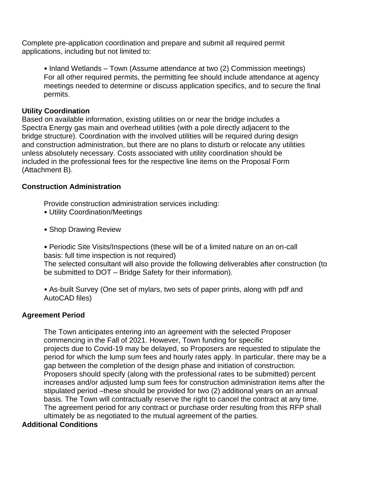Complete pre-application coordination and prepare and submit all required permit applications, including but not limited to:

• Inland Wetlands – Town (Assume attendance at two (2) Commission meetings) For all other required permits, the permitting fee should include attendance at agency meetings needed to determine or discuss application specifics, and to secure the final permits.

#### **Utility Coordination**

Based on available information, existing utilities on or near the bridge includes a Spectra Energy gas main and overhead utilities (with a pole directly adjacent to the bridge structure). Coordination with the involved utilities will be required during design and construction administration, but there are no plans to disturb or relocate any utilities unless absolutely necessary. Costs associated with utility coordination should be included in the professional fees for the respective line items on the Proposal Form (Attachment B).

#### **Construction Administration**

Provide construction administration services including:

- Utility Coordination/Meetings
- Shop Drawing Review

• Periodic Site Visits/Inspections (these will be of a limited nature on an on-call basis: full time inspection is not required)

The selected consultant will also provide the following deliverables after construction (to be submitted to DOT – Bridge Safety for their information).

• As-built Survey (One set of mylars, two sets of paper prints, along with pdf and AutoCAD files)

#### **Agreement Period**

The Town anticipates entering into an agreement with the selected Proposer commencing in the Fall of 2021. However, Town funding for specific projects due to Covid-19 may be delayed, so Proposers are requested to stipulate the period for which the lump sum fees and hourly rates apply. In particular, there may be a gap between the completion of the design phase and initiation of construction. Proposers should specify (along with the professional rates to be submitted) percent increases and/or adjusted lump sum fees for construction administration items after the stipulated period –these should be provided for two (2) additional years on an annual basis. The Town will contractually reserve the right to cancel the contract at any time. The agreement period for any contract or purchase order resulting from this RFP shall ultimately be as negotiated to the mutual agreement of the parties.

#### **Additional Conditions**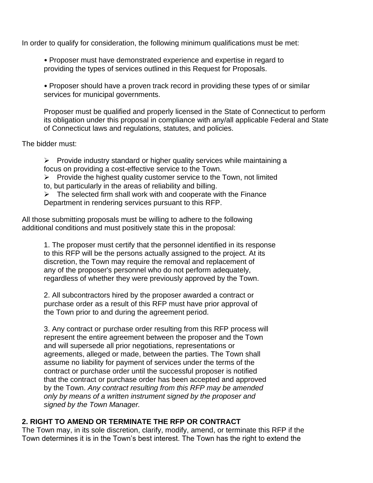In order to qualify for consideration, the following minimum qualifications must be met:

• Proposer must have demonstrated experience and expertise in regard to providing the types of services outlined in this Request for Proposals.

• Proposer should have a proven track record in providing these types of or similar services for municipal governments.

Proposer must be qualified and properly licensed in the State of Connecticut to perform its obligation under this proposal in compliance with any/all applicable Federal and State of Connecticut laws and regulations, statutes, and policies.

The bidder must:

➢ Provide industry standard or higher quality services while maintaining a focus on providing a cost-effective service to the Town.

 $\triangleright$  Provide the highest quality customer service to the Town, not limited to, but particularly in the areas of reliability and billing.

 $\triangleright$  The selected firm shall work with and cooperate with the Finance Department in rendering services pursuant to this RFP.

All those submitting proposals must be willing to adhere to the following additional conditions and must positively state this in the proposal:

1. The proposer must certify that the personnel identified in its response to this RFP will be the persons actually assigned to the project. At its discretion, the Town may require the removal and replacement of any of the proposer's personnel who do not perform adequately, regardless of whether they were previously approved by the Town.

2. All subcontractors hired by the proposer awarded a contract or purchase order as a result of this RFP must have prior approval of the Town prior to and during the agreement period.

3. Any contract or purchase order resulting from this RFP process will represent the entire agreement between the proposer and the Town and will supersede all prior negotiations, representations or agreements, alleged or made, between the parties. The Town shall assume no liability for payment of services under the terms of the contract or purchase order until the successful proposer is notified that the contract or purchase order has been accepted and approved by the Town. *Any contract resulting from this RFP may be amended only by means of a written instrument signed by the proposer and signed by the Town Manager.*

#### **2. RIGHT TO AMEND OR TERMINATE THE RFP OR CONTRACT**

The Town may, in its sole discretion, clarify, modify, amend, or terminate this RFP if the Town determines it is in the Town's best interest. The Town has the right to extend the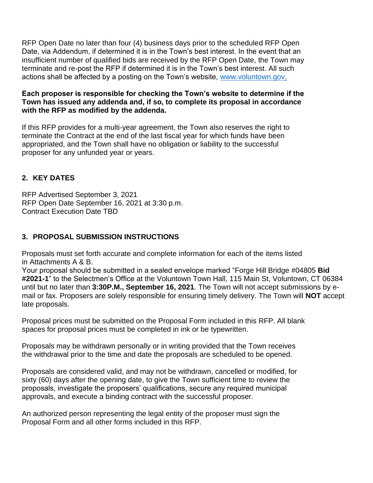RFP Open Date no later than four (4) business days prior to the scheduled RFP Open Date, via Addendum, if determined it is in the Town's best interest. In the event that an insufficient number of qualified bids are received by the RFP Open Date, the Town may terminate and re-post the RFP if determined it is in the Town's best interest. All such actions shall be affected by a posting on the Town's website, [www.v](http://www./)oluntown.gov.

#### **Each proposer is responsible for checking the Town's website to determine if the Town has issued any addenda and, if so, to complete its proposal in accordance with the RFP as modified by the addenda.**

If this RFP provides for a multi-year agreement, the Town also reserves the right to terminate the Contract at the end of the last fiscal year for which funds have been appropriated, and the Town shall have no obligation or liability to the successful proposer for any unfunded year or years.

# **2. KEY DATES**

RFP Advertised September 3, 2021 RFP Open Date September 16, 2021 at 3:30 p.m. Contract Execution Date TBD

#### **3. PROPOSAL SUBMISSION INSTRUCTIONS**

Proposals must set forth accurate and complete information for each of the items listed in Attachments A & B.

Your proposal should be submitted in a sealed envelope marked "Forge Hill Bridge #04805 **Bid #2021-1**" to the Selectmen's Office at the Voluntown Town Hall, 115 Main St, Voluntown, CT 06384 until but no later than **3:30P.M., September 16, 2021**. The Town will not accept submissions by email or fax. Proposers are solely responsible for ensuring timely delivery. The Town will **NOT** accept late proposals.

Proposal prices must be submitted on the Proposal Form included in this RFP. All blank spaces for proposal prices must be completed in ink or be typewritten.

Proposals may be withdrawn personally or in writing provided that the Town receives the withdrawal prior to the time and date the proposals are scheduled to be opened.

Proposals are considered valid, and may not be withdrawn, cancelled or modified, for sixty (60) days after the opening date, to give the Town sufficient time to review the proposals, investigate the proposers' qualifications, secure any required municipal approvals, and execute a binding contract with the successful proposer.

An authorized person representing the legal entity of the proposer must sign the Proposal Form and all other forms included in this RFP.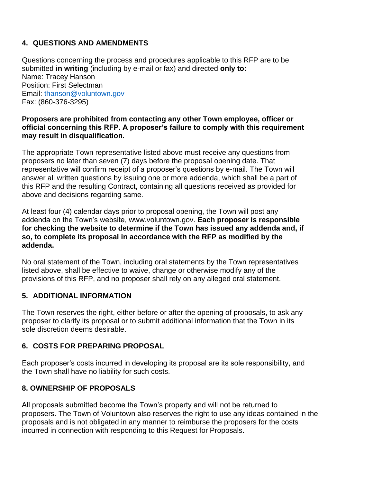# **4. QUESTIONS AND AMENDMENTS**

Questions concerning the process and procedures applicable to this RFP are to be submitted **in writing** (including by e-mail or fax) and directed **only to:** Name: Tracey Hanson Position: First Selectman Email: thanson@voluntown.gov Fax: (860-376-3295)

#### **Proposers are prohibited from contacting any other Town employee, officer or official concerning this RFP. A proposer's failure to comply with this requirement may result in disqualification.**

The appropriate Town representative listed above must receive any questions from proposers no later than seven (7) days before the proposal opening date. That representative will confirm receipt of a proposer's questions by e-mail. The Town will answer all written questions by issuing one or more addenda, which shall be a part of this RFP and the resulting Contract, containing all questions received as provided for above and decisions regarding same.

At least four (4) calendar days prior to proposal opening, the Town will post any addenda on the Town's website, www.voluntown.gov. **Each proposer is responsible for checking the website to determine if the Town has issued any addenda and, if so, to complete its proposal in accordance with the RFP as modified by the addenda.**

No oral statement of the Town, including oral statements by the Town representatives listed above, shall be effective to waive, change or otherwise modify any of the provisions of this RFP, and no proposer shall rely on any alleged oral statement.

#### **5. ADDITIONAL INFORMATION**

The Town reserves the right, either before or after the opening of proposals, to ask any proposer to clarify its proposal or to submit additional information that the Town in its sole discretion deems desirable.

#### **6. COSTS FOR PREPARING PROPOSAL**

Each proposer's costs incurred in developing its proposal are its sole responsibility, and the Town shall have no liability for such costs.

#### **8. OWNERSHIP OF PROPOSALS**

All proposals submitted become the Town's property and will not be returned to proposers. The Town of Voluntown also reserves the right to use any ideas contained in the proposals and is not obligated in any manner to reimburse the proposers for the costs incurred in connection with responding to this Request for Proposals.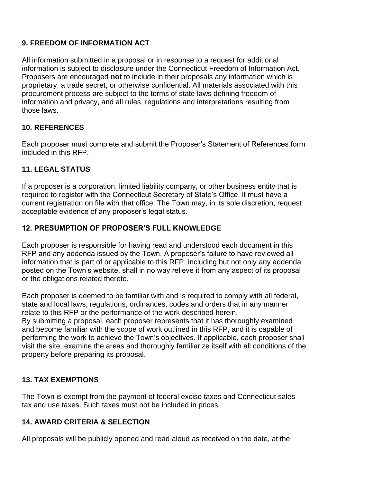# **9. FREEDOM OF INFORMATION ACT**

All information submitted in a proposal or in response to a request for additional information is subject to disclosure under the Connecticut Freedom of Information Act. Proposers are encouraged **not** to include in their proposals any information which is proprietary, a trade secret, or otherwise confidential. All materials associated with this procurement process are subject to the terms of state laws defining freedom of information and privacy, and all rules, regulations and interpretations resulting from those laws.

# **10. REFERENCES**

Each proposer must complete and submit the Proposer's Statement of References form included in this RFP.

# **11. LEGAL STATUS**

If a proposer is a corporation, limited liability company, or other business entity that is required to register with the Connecticut Secretary of State's Office, it must have a current registration on file with that office. The Town may, in its sole discretion, request acceptable evidence of any proposer's legal status.

#### **12. PRESUMPTION OF PROPOSER'S FULL KNOWLEDGE**

Each proposer is responsible for having read and understood each document in this RFP and any addenda issued by the Town. A proposer's failure to have reviewed all information that is part of or applicable to this RFP, including but not only any addenda posted on the Town's website, shall in no way relieve it from any aspect of its proposal or the obligations related thereto.

Each proposer is deemed to be familiar with and is required to comply with all federal, state and local laws, regulations, ordinances, codes and orders that in any manner relate to this RFP or the performance of the work described herein.

By submitting a proposal, each proposer represents that it has thoroughly examined and become familiar with the scope of work outlined in this RFP, and it is capable of performing the work to achieve the Town's objectives. If applicable, each proposer shall visit the site, examine the areas and thoroughly familiarize itself with all conditions of the property before preparing its proposal.

# **13. TAX EXEMPTIONS**

The Town is exempt from the payment of federal excise taxes and Connecticut sales tax and use taxes. Such taxes must not be included in prices.

#### **14. AWARD CRITERIA & SELECTION**

All proposals will be publicly opened and read aloud as received on the date, at the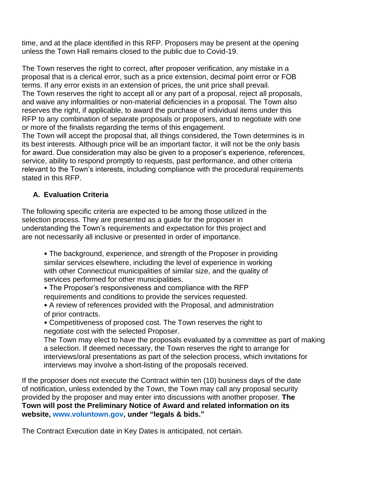time, and at the place identified in this RFP. Proposers may be present at the opening unless the Town Hall remains closed to the public due to Covid-19.

The Town reserves the right to correct, after proposer verification, any mistake in a proposal that is a clerical error, such as a price extension, decimal point error or FOB terms. If any error exists in an extension of prices, the unit price shall prevail. The Town reserves the right to accept all or any part of a proposal, reject all proposals, and waive any informalities or non-material deficiencies in a proposal. The Town also reserves the right, if applicable, to award the purchase of individual items under this RFP to any combination of separate proposals or proposers, and to negotiate with one or more of the finalists regarding the terms of this engagement.

The Town will accept the proposal that, all things considered, the Town determines is in its best interests. Although price will be an important factor, it will not be the only basis for award. Due consideration may also be given to a proposer's experience, references, service, ability to respond promptly to requests, past performance, and other criteria relevant to the Town's interests, including compliance with the procedural requirements stated in this RFP.

#### **A. Evaluation Criteria**

The following specific criteria are expected to be among those utilized in the selection process. They are presented as a guide for the proposer in understanding the Town's requirements and expectation for this project and are not necessarily all inclusive or presented in order of importance.

• The background, experience, and strength of the Proposer in providing similar services elsewhere, including the level of experience in working with other Connecticut municipalities of similar size, and the quality of services performed for other municipalities.

• The Proposer's responsiveness and compliance with the RFP requirements and conditions to provide the services requested.

- A review of references provided with the Proposal, and administration of prior contracts.
- Competitiveness of proposed cost. The Town reserves the right to negotiate cost with the selected Proposer.

The Town may elect to have the proposals evaluated by a committee as part of making a selection. If deemed necessary, the Town reserves the right to arrange for interviews/oral presentations as part of the selection process, which invitations for interviews may involve a short-listing of the proposals received.

If the proposer does not execute the Contract within ten (10) business days of the date of notification, unless extended by the Town, the Town may call any proposal security provided by the proposer and may enter into discussions with another proposer. **The Town will post the Preliminary Notice of Award and related information on its website, www.voluntown.gov, under "legals & bids."**

The Contract Execution date in Key Dates is anticipated, not certain.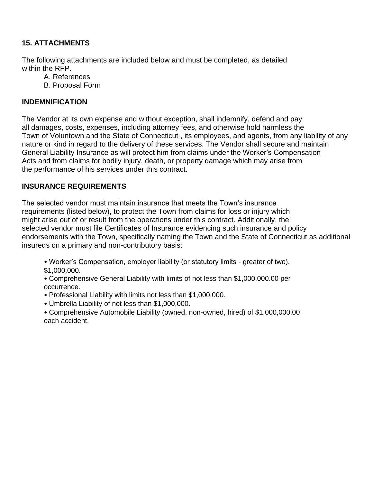# **15. ATTACHMENTS**

The following attachments are included below and must be completed, as detailed within the RFP.

- A. References
- B. Proposal Form

# **INDEMNIFICATION**

The Vendor at its own expense and without exception, shall indemnify, defend and pay all damages, costs, expenses, including attorney fees, and otherwise hold harmless the Town of Voluntown and the State of Connecticut , its employees, and agents, from any liability of any nature or kind in regard to the delivery of these services. The Vendor shall secure and maintain General Liability Insurance as will protect him from claims under the Worker's Compensation Acts and from claims for bodily injury, death, or property damage which may arise from the performance of his services under this contract.

# **INSURANCE REQUIREMENTS**

The selected vendor must maintain insurance that meets the Town's insurance requirements (listed below), to protect the Town from claims for loss or injury which might arise out of or result from the operations under this contract. Additionally, the selected vendor must file Certificates of Insurance evidencing such insurance and policy endorsements with the Town, specifically naming the Town and the State of Connecticut as additional insureds on a primary and non-contributory basis:

• Worker's Compensation, employer liability (or statutory limits - greater of two), \$1,000,000.

• Comprehensive General Liability with limits of not less than \$1,000,000.00 per occurrence.

- Professional Liability with limits not less than \$1,000,000.
- Umbrella Liability of not less than \$1,000,000.

• Comprehensive Automobile Liability (owned, non-owned, hired) of \$1,000,000.00 each accident.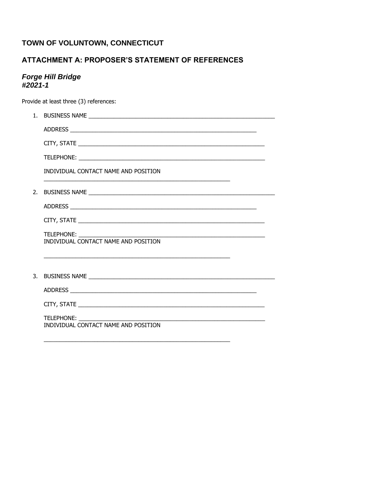# TOWN OF VOLUNTOWN, CONNECTICUT

# ATTACHMENT A: PROPOSER'S STATEMENT OF REFERENCES

# Forge Hill Bridge<br>#2021-1

Provide at least three (3) references:

|    | INDIVIDUAL CONTACT NAME AND POSITION                                                                                                                                       |
|----|----------------------------------------------------------------------------------------------------------------------------------------------------------------------------|
| 2. |                                                                                                                                                                            |
|    |                                                                                                                                                                            |
|    |                                                                                                                                                                            |
|    | TELEPHONE:<br><u> 2000 - Jan James James James James James James James James James James James James James James James James J</u><br>INDIVIDUAL CONTACT NAME AND POSITION |
|    |                                                                                                                                                                            |
|    |                                                                                                                                                                            |
|    |                                                                                                                                                                            |
|    |                                                                                                                                                                            |
|    | TELEPHONE:<br>INDIVIDUAL CONTACT NAME AND POSITION                                                                                                                         |